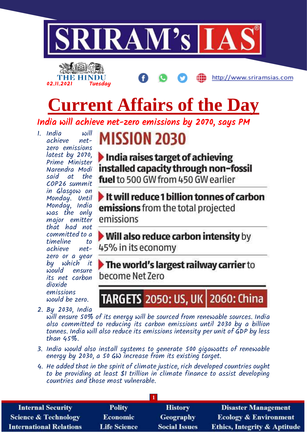

# **Current Affairs of the Day**

India will achieve net-zero emissions by 2070, says PM

1. India will achieve zero emissions latest by 2070, Prime Minister Narendra Modi said at the COP26 summit in Glasgow on Monday. Until Monday, India was the only major emitter that had not committed to a timeline to achieve netzero or a year by which it would ensure its net carbon dioxide emissions would be zero.

02.11.2021 Tuesday

THE HINDU

## **MISSION 2030**

India raises target of achieving installed capacity through non-fossil fuel to 500 GW from 450 GW earlier

http://www.sriramsias.com

 $\blacktriangleright$  It will reduce 1 billion tonnes of carbon emissions from the total projected emissions

Will also reduce carbon intensity by 45% in its economy

The world's largest railway carrier to become Net Zero

## TARGETS 2050: US, UK | 2060: China

2. By 2030, India will ensure 50% of its energy will be sourced from renewable sources. India also committed to reducing its carbon emissions until 2030 by a billion tonnes. India will also reduce its emissions intensity per unit of GDP by less than 45%.

- 3. India would also install systems to generate 500 gigawatts of renewable energy by 2030, a 50 GW increase from its existing target.
- 4. He added that in the spirit of climate justice, rich developed countries ought to be providing at least \$1 trillion in climate finance to assist developing countries and those most vulnerable.

| <b>Internal Security</b>        | <b>Polity</b>       | <b>History</b>       | <b>Disaster Management</b>              |
|---------------------------------|---------------------|----------------------|-----------------------------------------|
| <b>Science &amp; Technology</b> | <b>Economic</b>     | Geography            | <b>Ecology &amp; Environment</b>        |
| <b>International Relations</b>  | <b>Life Science</b> | <b>Social Issues</b> | <b>Ethics, Integrity &amp; Aptitude</b> |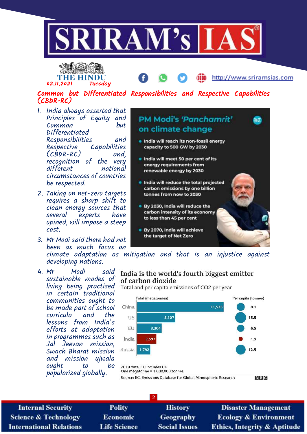



http://www.sriramsias.com

### Common but Differentiated Responsibilities and Respective Capabilities (CBDR-RC)

- 1. India always asserted that Principles of Equity and Common but Differentiated Responsibilities and<br>Respective Capabilities Capabilities (CBDR-RC) and, recognition of the very different national circumstances of countries be respected.
- 2. Taking on net-zero targets requires a sharp shift to clean energy sources that several experts have opined, will impose a steep cost.
- 3. Mr Modi said there had not been as much focus on developing nations.
- 4. Mr Modi said sustainable modes of living being practised in certain traditional communities ought to be made part of school curricula and the lessons from India's efforts at adaptation in programmes such as Jal Jeevan mission, Swach Bharat mission and mission ujwala ought to be popularized globally.



climate adaptation as mitigation and that is an injustice against

#### India is the world's fourth biggest emitter of carbon dioxide

Total and per capita emissions of CO2 per year



| <b>Polity</b>       | <b>History</b>       | <b>Disaster Management</b>              |  |
|---------------------|----------------------|-----------------------------------------|--|
| <b>Economic</b>     | Geography            | <b>Ecology &amp; Environment</b>        |  |
| <b>Life Science</b> | <b>Social Issues</b> | <b>Ethics, Integrity &amp; Aptitude</b> |  |
|                     |                      |                                         |  |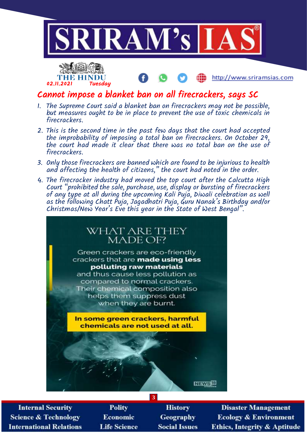

Cannot impose a blanket ban on all firecrackers, says SC

02.11.2021 Tuesday

THE HINDU

- 1. The Supreme Court said a blanket ban on firecrackers may not be possible, but measures ought to be in place to prevent the use of toxic chemicals in firecrackers.
- 2. This is the second time in the past few days that the court had accepted the improbability of imposing a total ban on firecrackers. On October 29, the court had made it clear that there was no total ban on the use of firecrackers.
- 3. Only those firecrackers are banned which are found to be injurious to health and affecting the health of citizens," the court had noted in the order.
- 4. The firecracker industry had moved the top court after the Calcutta High Court "prohibited the sale, purchase, use, display or bursting of firecrackers of any type at all during the upcoming Kali Puja, Diwali celebration as well as the following Chatt Puja, Jagadhatri Puja, Guru Nanak's Birthday and/or Christmas/New Year's Eve this year in the State of West Bengal".



**Internal Security Science & Technology International Relations** 

**Polity Economic Life Science** 

**History** Geography **Social Issues** 

**3**

**Disaster Management Ecology & Environment Ethics, Integrity & Aptitude** 

http://www.sriramsias.com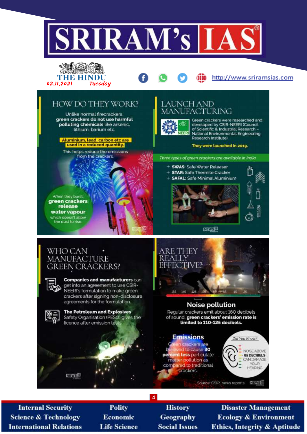

**Internal Security Science & Technology International Relations** 

**Polity** Economic **Life Science** 

**History Geography Social Issues** 

**Disaster Management Ecology & Environment Ethics, Integrity & Aptitude**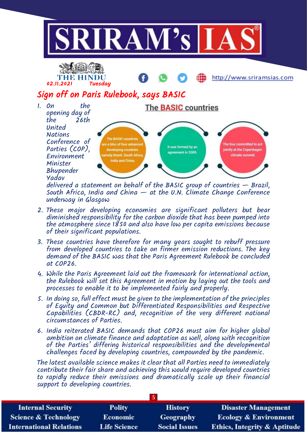



http://www.sriramsias.com

## Sign off on Paris Rulebook, says BASIC

1. On the opening day of the 26th United **Nations** Conference of Parties (COP), Environment Minister Bhupender Yadav



delivered a statement on behalf of the BASIC group of countries — Brazil, South Africa, India and China — at the U.N. Climate Change Conference underway in Glasgow

- 2. These major developing economies are significant polluters but bear diminished responsibility for the carbon dioxide that has been pumped into the atmosphere since 1850 and also have low per capita emissions because of their significant populations.
- 3. These countries have therefore for many years sought to rebuff pressure from developed countries to take on firmer emission reductions. The key demand of the BASIC was that the Paris Agreement Rulebook be concluded at COP26.
- 4. While the Paris Agreement laid out the framework for international action, the Rulebook will set this Agreement in motion by laying out the tools and processes to enable it to be implemented fairly and properly.
- 5. In doing so, full effect must be given to the implementation of the principles of Equity and Common but Differentiated Responsibilities and Respective Capabilities (CBDR-RC) and, recognition of the very different national circumstances of Parties.
- 6. India reiterated BASIC demands that COP26 must aim for higher global ambition on climate finance and adaptation as well, along with recognition of the Parties' differing historical responsibilities and the developmental challenges faced by developing countries, compounded by the pandemic.

The latest available science makes it clear that all Parties need to immediately contribute their fair share and achieving this would require developed countries to rapidly reduce their emissions and dramatically scale up their financial support to developing countries.

| <b>Internal Security</b>        | <b>Polity</b>       | <b>History</b>       | <b>Disaster Management</b>              |
|---------------------------------|---------------------|----------------------|-----------------------------------------|
| <b>Science &amp; Technology</b> | <b>Economic</b>     | <b>Geography</b>     | <b>Ecology &amp; Environment</b>        |
| <b>International Relations</b>  | <b>Life Science</b> | <b>Social Issues</b> | <b>Ethics, Integrity &amp; Aptitude</b> |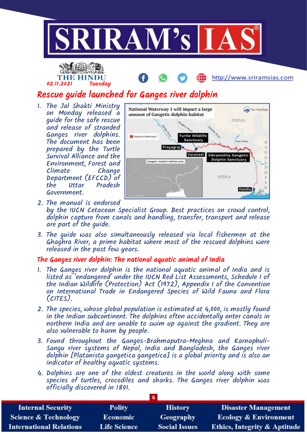



http://www.sriramsias.com

## Rescue guide launched for Ganges river dolphin

1. The Jal Shakti Ministry on Monday released a guide for the safe rescue and release of stranded Ganges river dolphins. The document has been prepared by the Turtle Survival Alliance and the Environment, Forest and Climate Change Department (EFCCD) of<br>the Uttar Pradesh Uttar Pradesh Government.



- 2. The manual is endorsed by the IUCN Cetacean Specialist Group. Best practices on crowd control, dolphin capture from canals and handling, transfer, transport and release are part of the guide.
- 3. The guide was also simultaneously released via local fishermen at the Ghaghra River, a prime habitat where most of the rescued dolphins were released in the past few years.

#### The Ganges river dolphin: The national aquatic animal of India

- 1. The Ganges river dolphin is the national aquatic animal of India and is listed as 'endangered' under the IUCN Red List Assessments, Schedule I of the Indian Wildlife (Protection) Act (1972), Appendix I of the Convention on International Trade in Endangered Species of Wild Fauna and Flora (CITES).
- 2. The species, whose global population is estimated at 4,000, is mostly found in the Indian subcontinent. The dolphins often accidentally enter canals in northern India and are unable to swim up against the gradient. They are also vulnerable to harm by people.
- 3. Found throughout the Ganges-Brahmaputra-Meghna and Karnaphuli-Sangu river systems of Nepal, India and Bangladesh, the Ganges river dolphin [Platanista gangetica gangetica] is a global priority and is also an indicator of healthy aquatic systems.
- 4. Dolphins are one of the oldest creatures in the world along with some species of turtles, crocodiles and sharks. The Ganges river dolphin was officially discovered in 1801.

| Lб                              |                     |                      |                                         |
|---------------------------------|---------------------|----------------------|-----------------------------------------|
| <b>Internal Security</b>        | <b>Polity</b>       | <b>History</b>       | <b>Disaster Management</b>              |
| <b>Science &amp; Technology</b> | <b>Economic</b>     | Geography            | <b>Ecology &amp; Environment</b>        |
| <b>International Relations</b>  | <b>Life Science</b> | <b>Social Issues</b> | <b>Ethics, Integrity &amp; Aptitude</b> |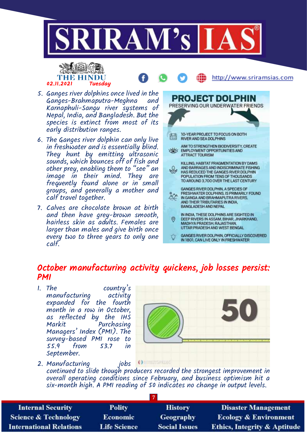





- 5. Ganges river dolphins once lived in the Ganges-Brahmaputra-Meghna and Karnaphuli-Sangu river systems of Nepal, India, and Bangladesh. But the species is extinct from most of its early distribution ranges.
- 6. The Ganges river dolphin can only live in freshwater and is essentially blind. They hunt by emitting ultrasonic sounds, which bounces off of fish and other prey, enabling them to "see" an image in their mind. They are frequently found alone or in small groups, and generally a mother and calf travel together.
- 7. Calves are chocolate brown at birth and then have grey-brown smooth, hairless skin as adults. Females are larger than males and give birth once every two to three years to only one calf.



## October manufacturing activity quickens, job losses persist: PMI

1. The country's<br>manufacturing activity manufacturing expanded for the fourth month in a row in October, as reflected by the IHS Markit Purchasing Managers' Index (PMI). The survey-based PMI rose to 55.9 from 53.7 in September.



2. Manufacturing jobs Officers continued to slide though producers recorded the strongest improvement in overall operating conditions since February, and business optimism hit a six-month high. A PMI reading of 50 indicates no change in output levels.

| <b>Internal Security</b>        | <b>Polity</b>       | <b>History</b>       | <b>Disaster Management</b>              |
|---------------------------------|---------------------|----------------------|-----------------------------------------|
| <b>Science &amp; Technology</b> | <b>Economic</b>     | Geography            | <b>Ecology &amp; Environment</b>        |
| <b>International Relations</b>  | <b>Life Science</b> | <b>Social Issues</b> | <b>Ethics, Integrity &amp; Aptitude</b> |